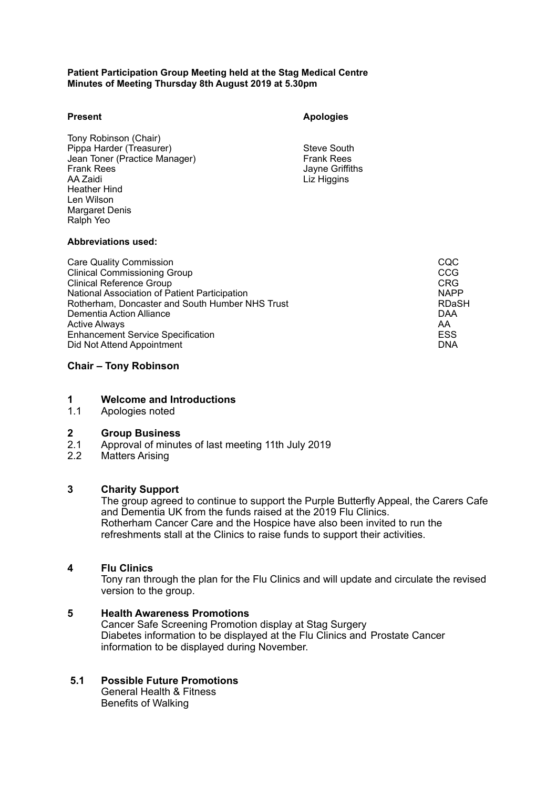### **Patient Participation Group Meeting held at the Stag Medical Centre Minutes of Meeting Thursday 8th August 2019 at 5.30pm**

### **Present**

 Tony Robinson (Chair) Jean Toner (Practice Manager) Frank Rees AA Zaidi Len Wilson Pippa Harder (Treasurer) Steve South Steve South<br>
Jean Toner (Practice Manager) Steve South Steve South Steve South Frank Rees Heather Hind Margaret Denis Ralph Yeo

**Apologies** 

Liz Higgins

# **Abbreviations used:**

| <b>Care Quality Commission</b>                  | CQC         |
|-------------------------------------------------|-------------|
| <b>Clinical Commissioning Group</b>             | CCG         |
| <b>Clinical Reference Group</b>                 | <b>CRG</b>  |
| National Association of Patient Participation   | <b>NAPP</b> |
| Rotherham, Doncaster and South Humber NHS Trust | RDaSH       |
| Dementia Action Alliance                        | DAA         |
| <b>Active Always</b>                            | AA.         |
| <b>Enhancement Service Specification</b>        | ESS         |
| Did Not Attend Appointment                      | <b>DNA</b>  |

# **Chair – Tony Robinson**

# **1 Welcome and Introductions**

1.1 Apologies noted

### **2 Group Business**

- $2.1$ <br> $2.2$ 2.1 Approval of minutes of last meeting 11th July 2019
- **Matters Arising**

# **3 Charity Support**

 The group agreed to continue to support the Purple Butterfly Appeal, the Carers Cafe Rotherham Cancer Care and the Hospice have also been invited to run the refreshments stall at the Clinics to raise funds to support their activities. and Dementia UK from the funds raised at the 2019 Flu Clinics.

### **4 Flu Clinics**

 Tony ran through the plan for the Flu Clinics and will update and circulate the revised version to the group.

#### Cancer Safe Screening Promotion display at Stag Surgery Diabetes information to be displayed at the Flu Clinics and Prostate Cancer information to be displayed during November. **5 Health Awareness Promotions**

# **5.1 Possible Future Promotions**

 General Health & Fitness Benefits of Walking